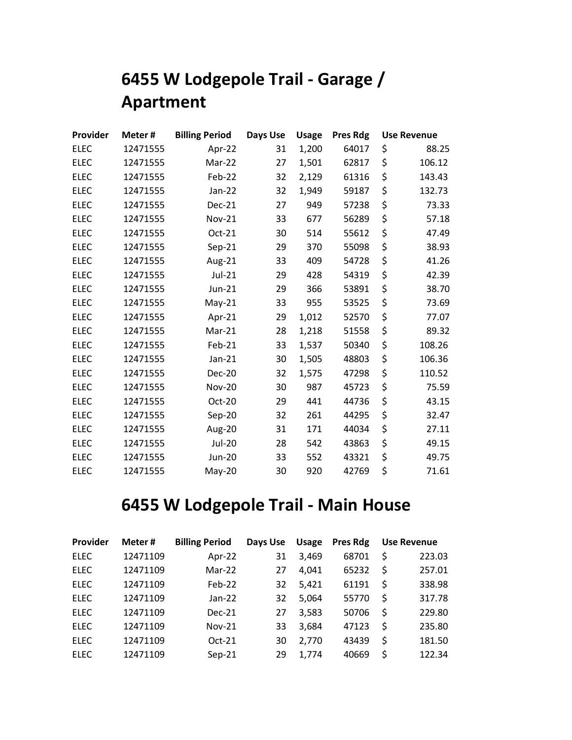## **6455 W Lodgepole Trail - Garage / Apartment**

| Provider    | Meter#   | <b>Billing Period</b> | Days Use | <b>Usage</b> | <b>Pres Rdg</b> | <b>Use Revenue</b> |
|-------------|----------|-----------------------|----------|--------------|-----------------|--------------------|
| <b>ELEC</b> | 12471555 | Apr-22                | 31       | 1,200        | 64017           | \$<br>88.25        |
| <b>ELEC</b> | 12471555 | Mar-22                | 27       | 1,501        | 62817           | \$<br>106.12       |
| <b>ELEC</b> | 12471555 | Feb-22                | 32       | 2,129        | 61316           | \$<br>143.43       |
| <b>ELEC</b> | 12471555 | Jan-22                | 32       | 1,949        | 59187           | \$<br>132.73       |
| <b>ELEC</b> | 12471555 | <b>Dec-21</b>         | 27       | 949          | 57238           | \$<br>73.33        |
| <b>ELEC</b> | 12471555 | <b>Nov-21</b>         | 33       | 677          | 56289           | \$<br>57.18        |
| <b>ELEC</b> | 12471555 | Oct-21                | 30       | 514          | 55612           | \$<br>47.49        |
| <b>ELEC</b> | 12471555 | $Sep-21$              | 29       | 370          | 55098           | \$<br>38.93        |
| <b>ELEC</b> | 12471555 | Aug-21                | 33       | 409          | 54728           | \$<br>41.26        |
| <b>ELEC</b> | 12471555 | Jul-21                | 29       | 428          | 54319           | \$<br>42.39        |
| <b>ELEC</b> | 12471555 | Jun-21                | 29       | 366          | 53891           | \$<br>38.70        |
| <b>ELEC</b> | 12471555 | $May-21$              | 33       | 955          | 53525           | \$<br>73.69        |
| <b>ELEC</b> | 12471555 | Apr-21                | 29       | 1,012        | 52570           | \$<br>77.07        |
| <b>ELEC</b> | 12471555 | Mar-21                | 28       | 1,218        | 51558           | \$<br>89.32        |
| <b>ELEC</b> | 12471555 | Feb-21                | 33       | 1,537        | 50340           | \$<br>108.26       |
| <b>ELEC</b> | 12471555 | $Jan-21$              | 30       | 1,505        | 48803           | \$<br>106.36       |
| <b>ELEC</b> | 12471555 | <b>Dec-20</b>         | 32       | 1,575        | 47298           | \$<br>110.52       |
| <b>ELEC</b> | 12471555 | <b>Nov-20</b>         | 30       | 987          | 45723           | \$<br>75.59        |
| <b>ELEC</b> | 12471555 | Oct-20                | 29       | 441          | 44736           | \$<br>43.15        |
| <b>ELEC</b> | 12471555 | Sep-20                | 32       | 261          | 44295           | \$<br>32.47        |
| <b>ELEC</b> | 12471555 | Aug-20                | 31       | 171          | 44034           | \$<br>27.11        |
| <b>ELEC</b> | 12471555 | <b>Jul-20</b>         | 28       | 542          | 43863           | \$<br>49.15        |
| <b>ELEC</b> | 12471555 | <b>Jun-20</b>         | 33       | 552          | 43321           | \$<br>49.75        |
| <b>ELEC</b> | 12471555 | $May-20$              | 30       | 920          | 42769           | \$<br>71.61        |

## **6455 W Lodgepole Trail - Main House**

| Provider    | Meter#   | <b>Billing Period</b> | Days Use | <b>Usage</b> | Pres Rdg | <b>Use Revenue</b> |
|-------------|----------|-----------------------|----------|--------------|----------|--------------------|
| <b>ELEC</b> | 12471109 | Apr-22                | 31       | 3,469        | 68701    | \$<br>223.03       |
| <b>ELEC</b> | 12471109 | $Mar-22$              | 27       | 4,041        | 65232    | \$<br>257.01       |
| <b>ELEC</b> | 12471109 | $Feb-22$              | 32       | 5,421        | 61191    | \$<br>338.98       |
| <b>ELEC</b> | 12471109 | $Jan-22$              | 32       | 5,064        | 55770    | \$<br>317.78       |
| <b>ELEC</b> | 12471109 | $Dec-21$              | 27       | 3,583        | 50706    | \$<br>229.80       |
| <b>ELEC</b> | 12471109 | $Nov-21$              | 33       | 3,684        | 47123    | \$<br>235.80       |
| <b>ELEC</b> | 12471109 | $Oct-21$              | 30       | 2,770        | 43439    | \$<br>181.50       |
| <b>ELEC</b> | 12471109 | $Sep-21$              | 29       | 1,774        | 40669    | \$<br>122.34       |